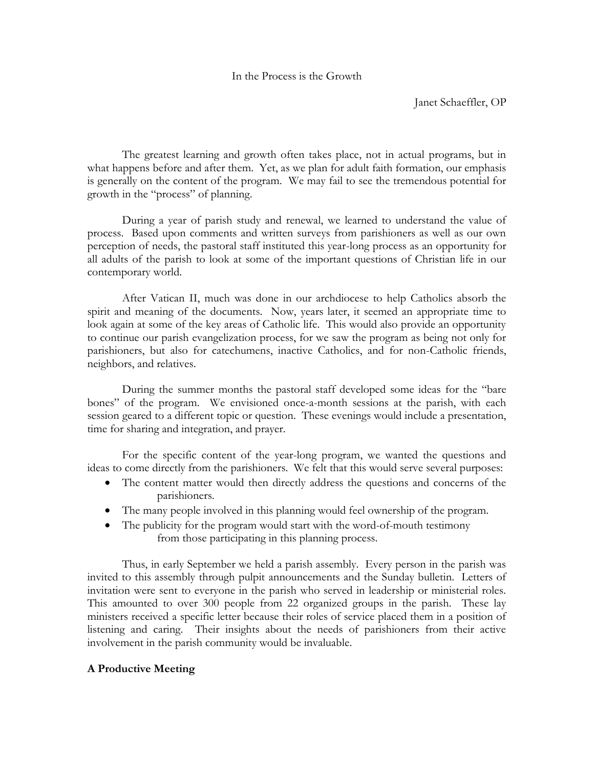#### In the Process is the Growth

Janet Schaeffler, OP

The greatest learning and growth often takes place, not in actual programs, but in what happens before and after them. Yet, as we plan for adult faith formation, our emphasis is generally on the content of the program. We may fail to see the tremendous potential for growth in the "process" of planning.

During a year of parish study and renewal, we learned to understand the value of process. Based upon comments and written surveys from parishioners as well as our own perception of needs, the pastoral staff instituted this year-long process as an opportunity for all adults of the parish to look at some of the important questions of Christian life in our contemporary world.

After Vatican II, much was done in our archdiocese to help Catholics absorb the spirit and meaning of the documents. Now, years later, it seemed an appropriate time to look again at some of the key areas of Catholic life. This would also provide an opportunity to continue our parish evangelization process, for we saw the program as being not only for parishioners, but also for catechumens, inactive Catholics, and for non-Catholic friends, neighbors, and relatives.

During the summer months the pastoral staff developed some ideas for the "bare bones" of the program. We envisioned once-a-month sessions at the parish, with each session geared to a different topic or question. These evenings would include a presentation, time for sharing and integration, and prayer.

For the specific content of the year-long program, we wanted the questions and ideas to come directly from the parishioners. We felt that this would serve several purposes:

- The content matter would then directly address the questions and concerns of the parishioners.
- The many people involved in this planning would feel ownership of the program.
- The publicity for the program would start with the word-of-mouth testimony from those participating in this planning process.

Thus, in early September we held a parish assembly. Every person in the parish was invited to this assembly through pulpit announcements and the Sunday bulletin. Letters of invitation were sent to everyone in the parish who served in leadership or ministerial roles. This amounted to over 300 people from 22 organized groups in the parish. These lay ministers received a specific letter because their roles of service placed them in a position of listening and caring. Their insights about the needs of parishioners from their active involvement in the parish community would be invaluable.

#### **A Productive Meeting**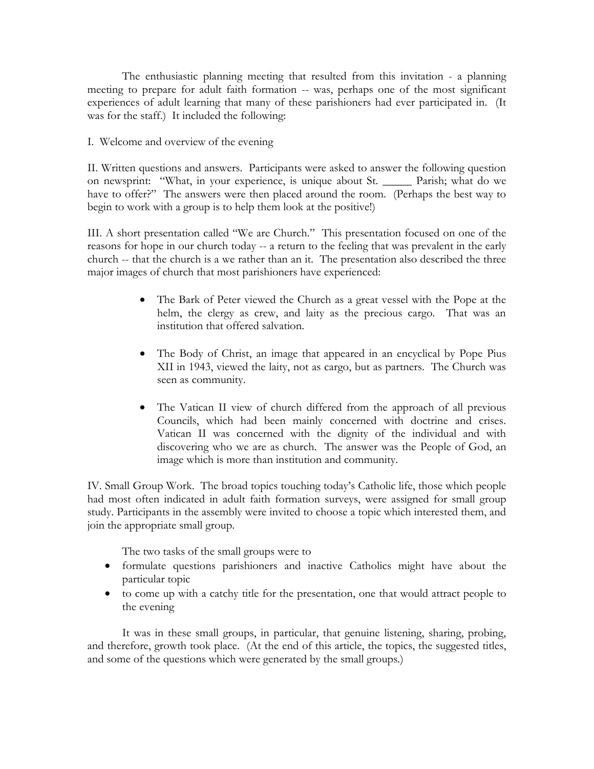The enthusiastic planning meeting that resulted from this invitation - a planning meeting to prepare for adult faith formation -- was, perhaps one of the most significant experiences of adult learning that many of these parishioners had ever participated in. (It was for the staff.) It included the following:

### I. Welcome and overview of the evening

II. Written questions and answers. Participants were asked to answer the following question on newsprint: "What, in your experience, is unique about St. \_\_\_\_\_ Parish; what do we have to offer?" The answers were then placed around the room. (Perhaps the best way to begin to work with a group is to help them look at the positive!)

III. A short presentation called "We are Church." This presentation focused on one of the reasons for hope in our church today -- a return to the feeling that was prevalent in the early church -- that the church is a we rather than an it. The presentation also described the three major images of church that most parishioners have experienced:

- The Bark of Peter viewed the Church as a great vessel with the Pope at the helm, the clergy as crew, and laity as the precious cargo. That was an institution that offered salvation.
- The Body of Christ, an image that appeared in an encyclical by Pope Pius XII in 1943, viewed the laity, not as cargo, but as partners. The Church was seen as community.
- The Vatican II view of church differed from the approach of all previous Councils, which had been mainly concerned with doctrine and crises. Vatican II was concerned with the dignity of the individual and with discovering who we are as church. The answer was the People of God, an image which is more than institution and community.

IV. Small Group Work. The broad topics touching today's Catholic life, those which people had most often indicated in adult faith formation surveys, were assigned for small group study. Participants in the assembly were invited to choose a topic which interested them, and join the appropriate small group.

The two tasks of the small groups were to

- formulate questions parishioners and inactive Catholics might have about the particular topic
- to come up with a catchy title for the presentation, one that would attract people to the evening

It was in these small groups, in particular, that genuine listening, sharing, probing, and therefore, growth took place. (At the end of this article, the topics, the suggested titles, and some of the questions which were generated by the small groups.)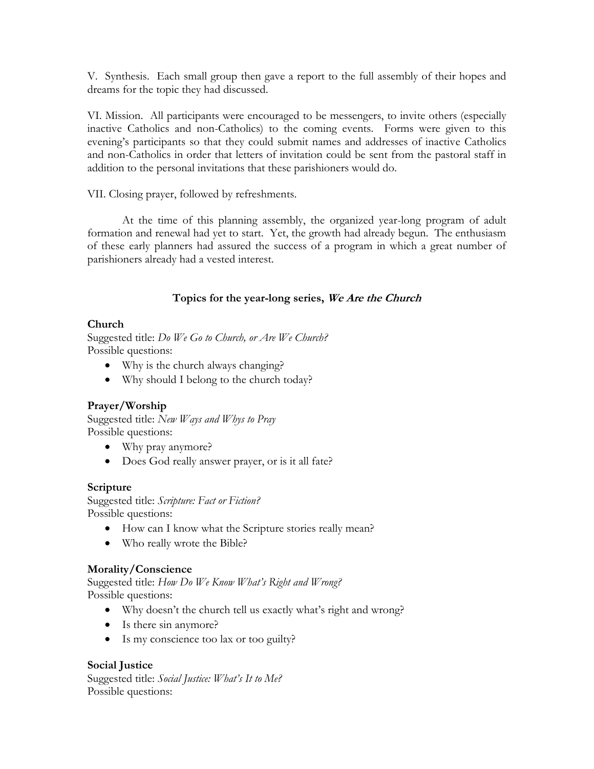V. Synthesis. Each small group then gave a report to the full assembly of their hopes and dreams for the topic they had discussed.

VI. Mission. All participants were encouraged to be messengers, to invite others (especially inactive Catholics and non-Catholics) to the coming events. Forms were given to this evening's participants so that they could submit names and addresses of inactive Catholics and non-Catholics in order that letters of invitation could be sent from the pastoral staff in addition to the personal invitations that these parishioners would do.

VII. Closing prayer, followed by refreshments.

At the time of this planning assembly, the organized year-long program of adult formation and renewal had yet to start. Yet, the growth had already begun. The enthusiasm of these early planners had assured the success of a program in which a great number of parishioners already had a vested interest.

## **Topics for the year-long series, We Are the Church**

## **Church**

Suggested title: *Do We Go to Church, or Are We Church?* Possible questions:

- Why is the church always changing?
- Why should I belong to the church today?

# **Prayer/Worship**

Suggested title: *New Ways and Whys to Pray* Possible questions:

- Why pray anymore?
- Does God really answer prayer, or is it all fate?

#### **Scripture**

Suggested title: *Scripture: Fact or Fiction?* Possible questions:

- How can I know what the Scripture stories really mean?
- Who really wrote the Bible?

#### **Morality/Conscience**

Suggested title: *How Do We Know What's Right and Wrong?* Possible questions:

- Why doesn't the church tell us exactly what's right and wrong?
- Is there sin anymore?
- Is my conscience too lax or too guilty?

# **Social Justice**

Suggested title: *Social Justice: What's It to Me?* Possible questions: